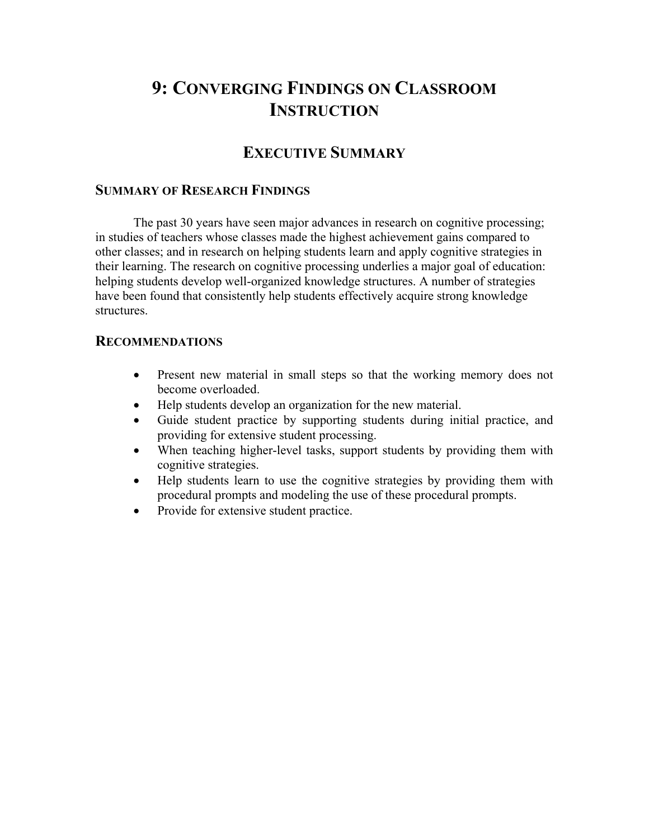# **9: CONVERGING FINDINGS ON CLASSROOM INSTRUCTION**

## **EXECUTIVE SUMMARY**

## **SUMMARY OF RESEARCH FINDINGS**

The past 30 years have seen major advances in research on cognitive processing; in studies of teachers whose classes made the highest achievement gains compared to other classes; and in research on helping students learn and apply cognitive strategies in their learning. The research on cognitive processing underlies a major goal of education: helping students develop well-organized knowledge structures. A number of strategies have been found that consistently help students effectively acquire strong knowledge structures.

## **RECOMMENDATIONS**

- Present new material in small steps so that the working memory does not become overloaded.
- Help students develop an organization for the new material.
- Guide student practice by supporting students during initial practice, and providing for extensive student processing.
- When teaching higher-level tasks, support students by providing them with cognitive strategies.
- Help students learn to use the cognitive strategies by providing them with procedural prompts and modeling the use of these procedural prompts.
- Provide for extensive student practice.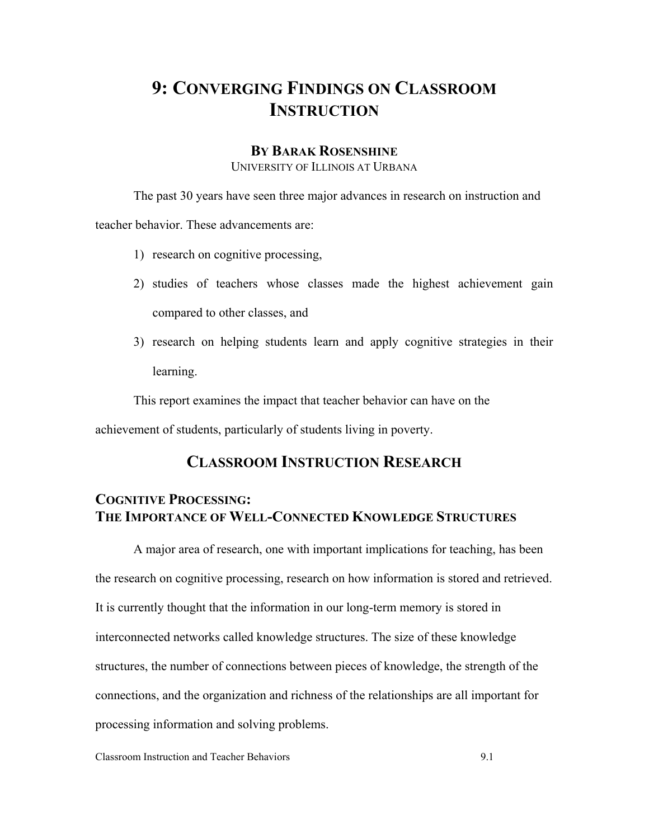# **9: CONVERGING FINDINGS ON CLASSROOM INSTRUCTION**

## **BY BARAK ROSENSHINE**

UNIVERSITY OF ILLINOIS AT URBANA

The past 30 years have seen three major advances in research on instruction and teacher behavior. These advancements are:

- 1) research on cognitive processing,
- 2) studies of teachers whose classes made the highest achievement gain compared to other classes, and
- 3) research on helping students learn and apply cognitive strategies in their learning.

This report examines the impact that teacher behavior can have on the

achievement of students, particularly of students living in poverty.

## **CLASSROOM INSTRUCTION RESEARCH**

## **COGNITIVE PROCESSING: THE IMPORTANCE OF WELL-CONNECTED KNOWLEDGE STRUCTURES**

A major area of research, one with important implications for teaching, has been the research on cognitive processing, research on how information is stored and retrieved. It is currently thought that the information in our long-term memory is stored in interconnected networks called knowledge structures. The size of these knowledge structures, the number of connections between pieces of knowledge, the strength of the connections, and the organization and richness of the relationships are all important for processing information and solving problems.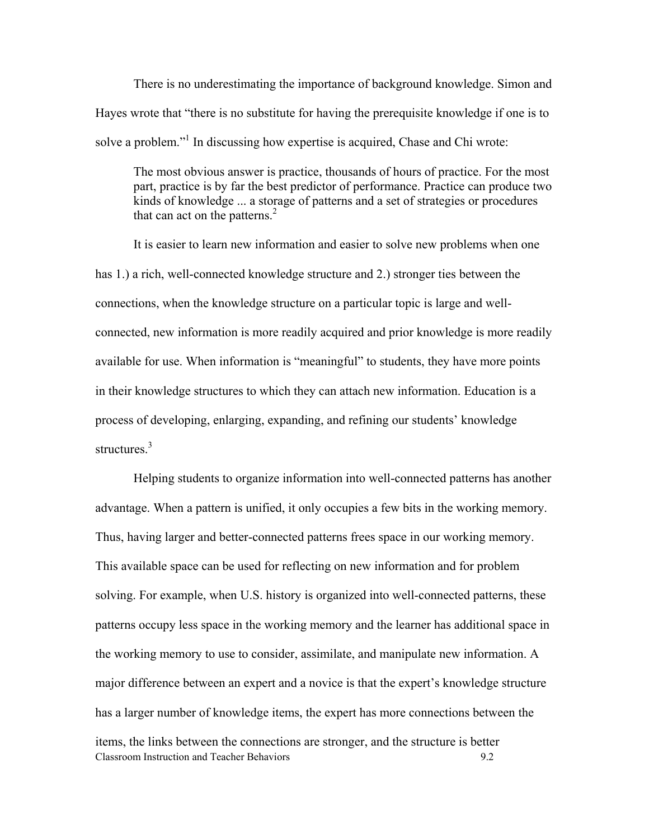There is no underestimating the importance of background knowledge. Simon and Hayes wrote that "there is no substitute for having the prerequisite knowledge if one is to solve a problem."<sup>[1](#page-30-0)</sup> In discussing how expertise is acquired, Chase and Chi wrote:

The most obvious answer is practice, thousands of hours of practice. For the most part, practice is by far the best predictor of performance. Practice can produce two kinds of knowledge ... a storage of patterns and a set of strategies or procedures that can act on the patterns. $<sup>2</sup>$  $<sup>2</sup>$  $<sup>2</sup>$ </sup>

It is easier to learn new information and easier to solve new problems when one has 1.) a rich, well-connected knowledge structure and 2.) stronger ties between the connections, when the knowledge structure on a particular topic is large and wellconnected, new information is more readily acquired and prior knowledge is more readily available for use. When information is "meaningful" to students, they have more points in their knowledge structures to which they can attach new information. Education is a process of developing, enlarging, expanding, and refining our students' knowledge structures.<sup>[3](#page-30-2)</sup>

Classroom Instruction and Teacher Behaviors 9.2 Helping students to organize information into well-connected patterns has another advantage. When a pattern is unified, it only occupies a few bits in the working memory. Thus, having larger and better-connected patterns frees space in our working memory. This available space can be used for reflecting on new information and for problem solving. For example, when U.S. history is organized into well-connected patterns, these patterns occupy less space in the working memory and the learner has additional space in the working memory to use to consider, assimilate, and manipulate new information. A major difference between an expert and a novice is that the expert's knowledge structure has a larger number of knowledge items, the expert has more connections between the items, the links between the connections are stronger, and the structure is better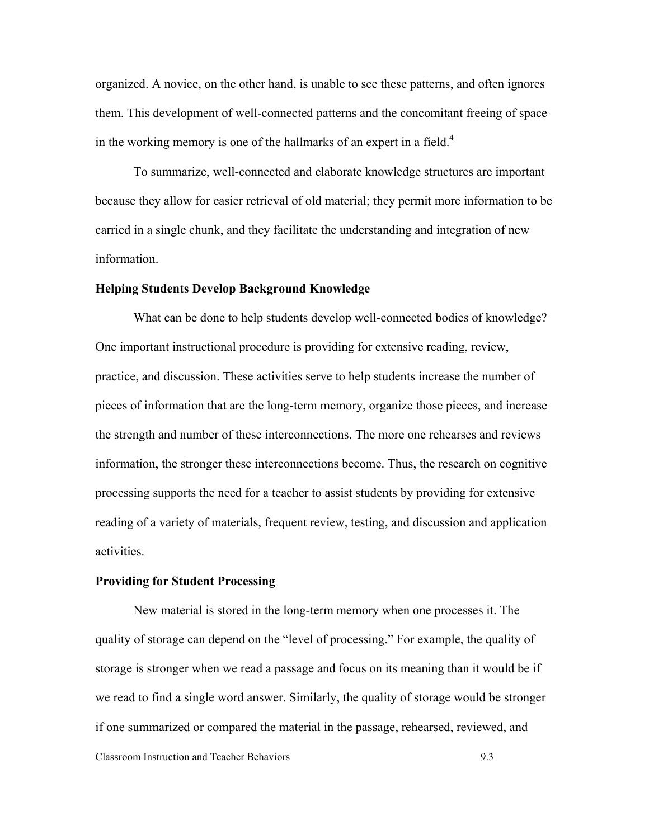organized. A novice, on the other hand, is unable to see these patterns, and often ignores them. This development of well-connected patterns and the concomitant freeing of space in the working memory is one of the hallmarks of an expert in a field. $4$ 

To summarize, well-connected and elaborate knowledge structures are important because they allow for easier retrieval of old material; they permit more information to be carried in a single chunk, and they facilitate the understanding and integration of new information.

#### **Helping Students Develop Background Knowledge**

What can be done to help students develop well-connected bodies of knowledge? One important instructional procedure is providing for extensive reading, review, practice, and discussion. These activities serve to help students increase the number of pieces of information that are the long-term memory, organize those pieces, and increase the strength and number of these interconnections. The more one rehearses and reviews information, the stronger these interconnections become. Thus, the research on cognitive processing supports the need for a teacher to assist students by providing for extensive reading of a variety of materials, frequent review, testing, and discussion and application activities.

#### **Providing for Student Processing**

New material is stored in the long-term memory when one processes it. The quality of storage can depend on the "level of processing." For example, the quality of storage is stronger when we read a passage and focus on its meaning than it would be if we read to find a single word answer. Similarly, the quality of storage would be stronger if one summarized or compared the material in the passage, rehearsed, reviewed, and Classroom Instruction and Teacher Behaviors 9.3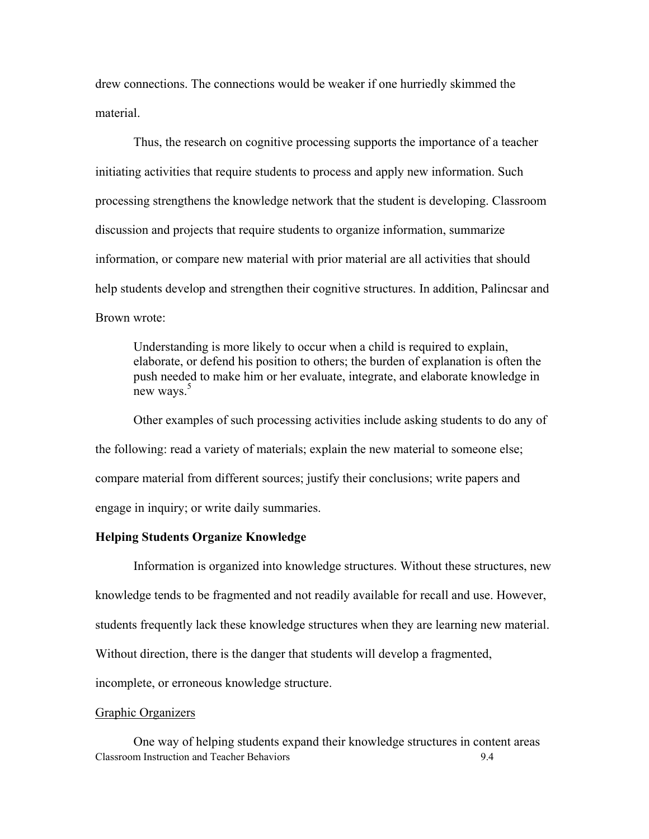drew connections. The connections would be weaker if one hurriedly skimmed the material.

Thus, the research on cognitive processing supports the importance of a teacher initiating activities that require students to process and apply new information. Such processing strengthens the knowledge network that the student is developing. Classroom discussion and projects that require students to organize information, summarize information, or compare new material with prior material are all activities that should help students develop and strengthen their cognitive structures. In addition, Palincsar and Brown wrote:

Understanding is more likely to occur when a child is required to explain, elaborate, or defend his position to others; the burden of explanation is often the push needed to make him or her evaluate, integrate, and elaborate knowledge in new ways.<sup>[5](#page-30-4)</sup>

Other examples of such processing activities include asking students to do any of the following: read a variety of materials; explain the new material to someone else; compare material from different sources; justify their conclusions; write papers and engage in inquiry; or write daily summaries.

## **Helping Students Organize Knowledge**

Information is organized into knowledge structures. Without these structures, new knowledge tends to be fragmented and not readily available for recall and use. However, students frequently lack these knowledge structures when they are learning new material. Without direction, there is the danger that students will develop a fragmented, incomplete, or erroneous knowledge structure.

#### Graphic Organizers

Classroom Instruction and Teacher Behaviors 9.4 One way of helping students expand their knowledge structures in content areas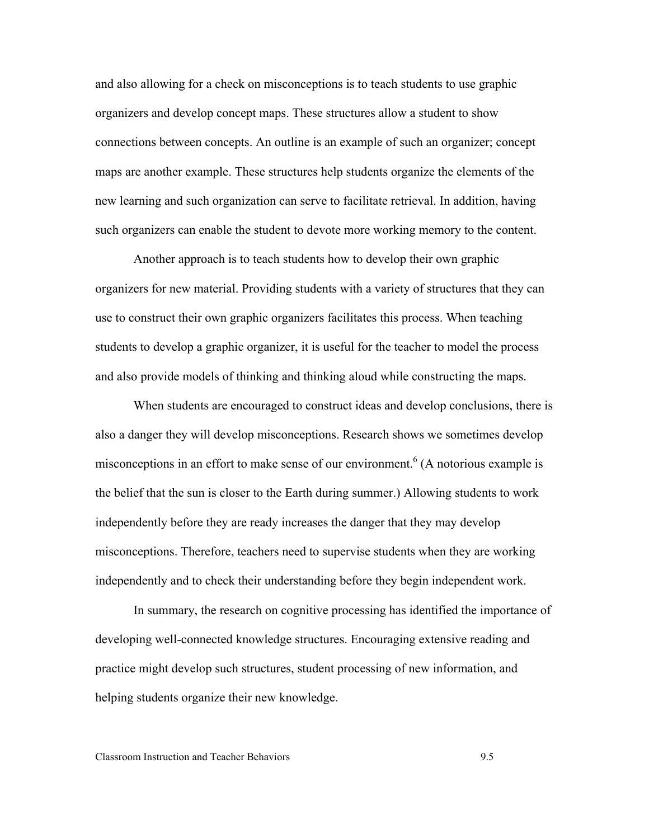and also allowing for a check on misconceptions is to teach students to use graphic organizers and develop concept maps. These structures allow a student to show connections between concepts. An outline is an example of such an organizer; concept maps are another example. These structures help students organize the elements of the new learning and such organization can serve to facilitate retrieval. In addition, having such organizers can enable the student to devote more working memory to the content.

Another approach is to teach students how to develop their own graphic organizers for new material. Providing students with a variety of structures that they can use to construct their own graphic organizers facilitates this process. When teaching students to develop a graphic organizer, it is useful for the teacher to model the process and also provide models of thinking and thinking aloud while constructing the maps.

When students are encouraged to construct ideas and develop conclusions, there is also a danger they will develop misconceptions. Research shows we sometimes develop misconceptions in an effort to make sense of our environment.<sup>[6](#page-30-5)</sup> (A notorious example is the belief that the sun is closer to the Earth during summer.) Allowing students to work independently before they are ready increases the danger that they may develop misconceptions. Therefore, teachers need to supervise students when they are working independently and to check their understanding before they begin independent work.

In summary, the research on cognitive processing has identified the importance of developing well-connected knowledge structures. Encouraging extensive reading and practice might develop such structures, student processing of new information, and helping students organize their new knowledge.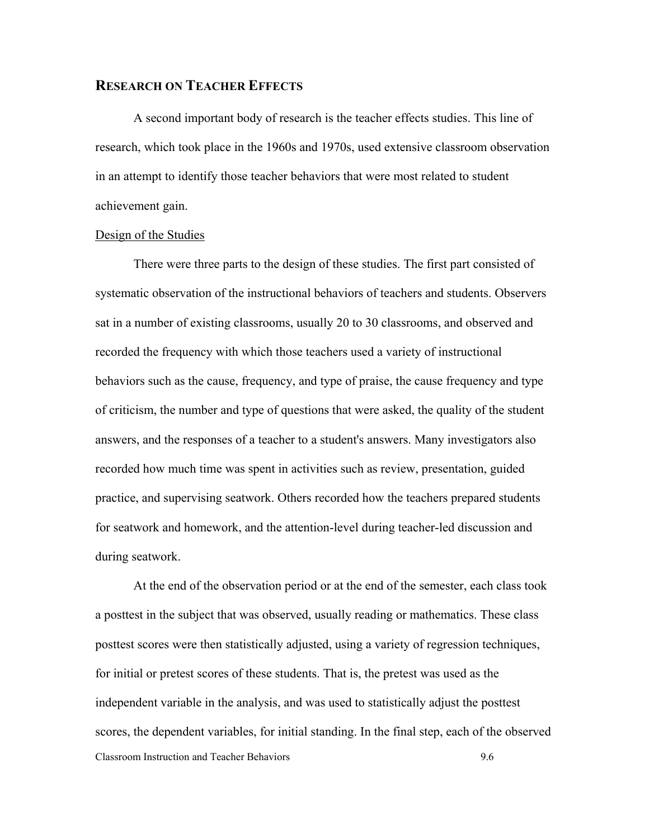## **RESEARCH ON TEACHER EFFECTS**

A second important body of research is the teacher effects studies. This line of research, which took place in the 1960s and 1970s, used extensive classroom observation in an attempt to identify those teacher behaviors that were most related to student achievement gain.

#### Design of the Studies

There were three parts to the design of these studies. The first part consisted of systematic observation of the instructional behaviors of teachers and students. Observers sat in a number of existing classrooms, usually 20 to 30 classrooms, and observed and recorded the frequency with which those teachers used a variety of instructional behaviors such as the cause, frequency, and type of praise, the cause frequency and type of criticism, the number and type of questions that were asked, the quality of the student answers, and the responses of a teacher to a student's answers. Many investigators also recorded how much time was spent in activities such as review, presentation, guided practice, and supervising seatwork. Others recorded how the teachers prepared students for seatwork and homework, and the attention-level during teacher-led discussion and during seatwork.

At the end of the observation period or at the end of the semester, each class took a posttest in the subject that was observed, usually reading or mathematics. These class posttest scores were then statistically adjusted, using a variety of regression techniques, for initial or pretest scores of these students. That is, the pretest was used as the independent variable in the analysis, and was used to statistically adjust the posttest scores, the dependent variables, for initial standing. In the final step, each of the observed Classroom Instruction and Teacher Behaviors 9.6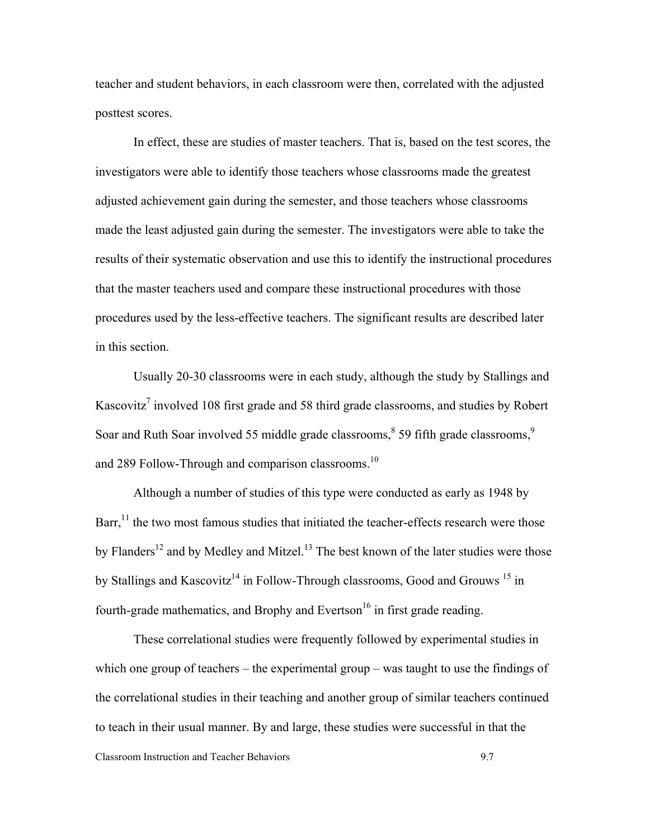teacher and student behaviors, in each classroom were then, correlated with the adjusted posttest scores.

In effect, these are studies of master teachers. That is, based on the test scores, the investigators were able to identify those teachers whose classrooms made the greatest adjusted achievement gain during the semester, and those teachers whose classrooms made the least adjusted gain during the semester. The investigators were able to take the results of their systematic observation and use this to identify the instructional procedures that the master teachers used and compare these instructional procedures with those procedures used by the less-effective teachers. The significant results are described later in this section.

Usually 20-30 classrooms were in each study, although the study by Stallings and Kascovitz<sup>7</sup> involved 108 first grade and 58 third grade classrooms, and studies by Robert Soar and Ruth Soar involved 55 middle grade classrooms,  $8\,$  59 fifth grade classrooms,  $9\,$ and 289 Follow-Through and comparison classrooms.<sup>10</sup>

Although a number of studies of this type were conducted as early as 1948 by Barr, $<sup>11</sup>$  the two most famous studies that initiated the teacher-effects research were those</sup> by Flanders<sup>12</sup> and by Medley and Mitzel.<sup>13</sup> The best known of the later studies were those by Stallings and Kascovitz<sup>14</sup> in Follow-Through classrooms, Good and Grouws  $^{15}$  in fourth-grade mathematics, and Brophy and Evertson<sup>16</sup> in first grade reading.

These correlational studies were frequently followed by experimental studies in which one group of teachers – the experimental group – was taught to use the findings of the correlational studies in their teaching and another group of similar teachers continued to teach in their usual manner. By and large, these studies were successful in that the Classroom Instruction and Teacher Behaviors 9.7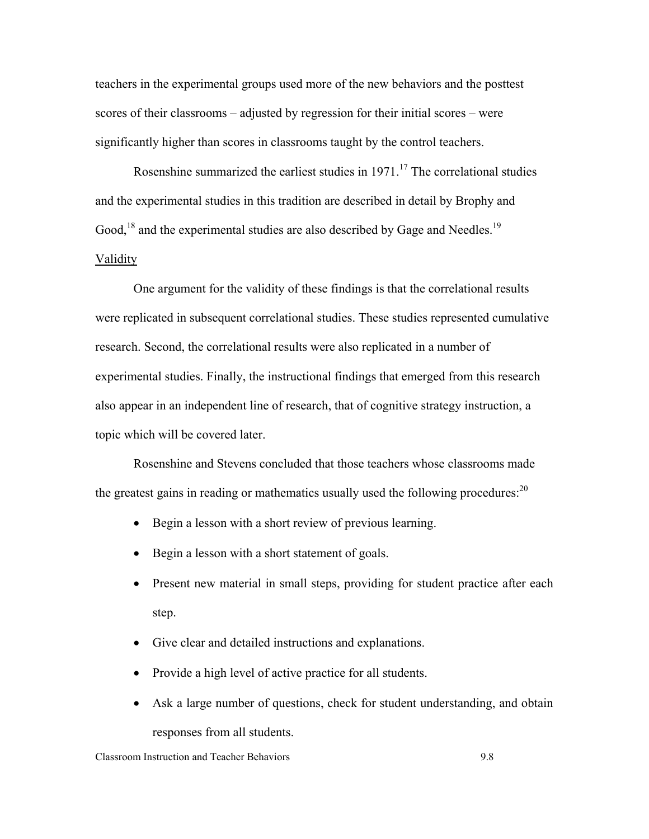teachers in the experimental groups used more of the new behaviors and the posttest scores of their classrooms – adjusted by regression for their initial scores – were significantly higher than scores in classrooms taught by the control teachers.

Rosenshine summarized the earliest studies in  $1971$ .<sup>17</sup> The correlational studies and the experimental studies in this tradition are described in detail by Brophy and Good,  $^{18}$  and the experimental studies are also described by Gage and Needles.<sup>19</sup> Validity

One argument for the validity of these findings is that the correlational results were replicated in subsequent correlational studies. These studies represented cumulative research. Second, the correlational results were also replicated in a number of experimental studies. Finally, the instructional findings that emerged from this research also appear in an independent line of research, that of cognitive strategy instruction, a topic which will be covered later.

Rosenshine and Stevens concluded that those teachers whose classrooms made the greatest gains in reading or mathematics usually used the following procedures:<sup>20</sup>

- Begin a lesson with a short review of previous learning.
- Begin a lesson with a short statement of goals.
- Present new material in small steps, providing for student practice after each step.
- Give clear and detailed instructions and explanations.
- Provide a high level of active practice for all students.
- Ask a large number of questions, check for student understanding, and obtain responses from all students.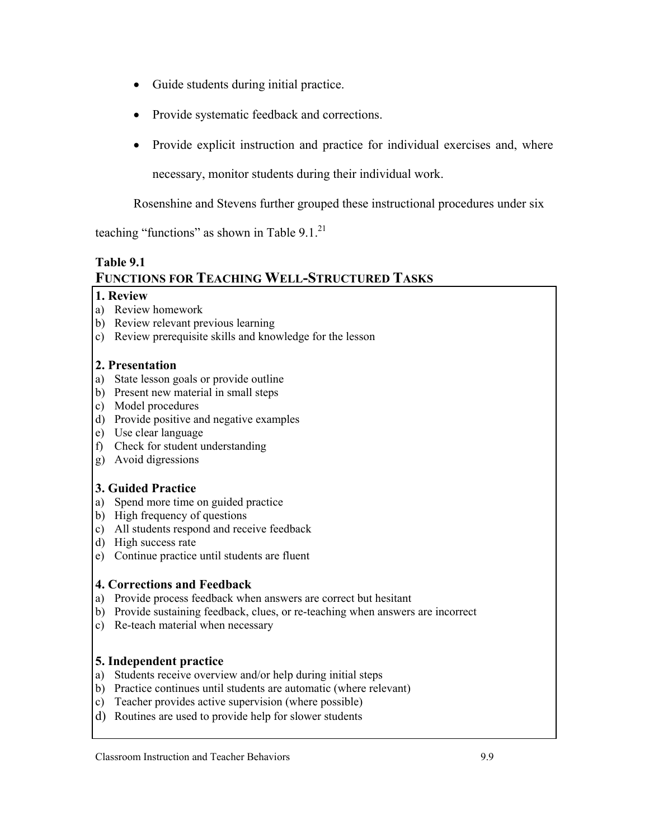- Guide students during initial practice.
- Provide systematic feedback and corrections.
- Provide explicit instruction and practice for individual exercises and, where

necessary, monitor students during their individual work.

Rosenshine and Stevens further grouped these instructional procedures under six

teaching "functions" as shown in Table  $9.1<sup>21</sup>$ 

## **Table 9.1 FUNCTIONS FOR TEACHING WELL-STRUCTURED TASKS**

## **1. Review**

- a) Review homework
- b) Review relevant previous learning
- c) Review prerequisite skills and knowledge for the lesson

## **2. Presentation**

- a) State lesson goals or provide outline
- b) Present new material in small steps
- c) Model procedures
- d) Provide positive and negative examples
- e) Use clear language
- f) Check for student understanding
- g) Avoid digressions

## **3. Guided Practice**

- a) Spend more time on guided practice
- b) High frequency of questions
- c) All students respond and receive feedback
- d) High success rate
- e) Continue practice until students are fluent

## **4. Corrections and Feedback**

- a) Provide process feedback when answers are correct but hesitant
- b) Provide sustaining feedback, clues, or re-teaching when answers are incorrect
- c) Re-teach material when necessary

## **5. Independent practice**

- a) Students receive overview and/or help during initial steps
- b) Practice continues until students are automatic (where relevant)
- c) Teacher provides active supervision (where possible)
- d) Routines are used to provide help for slower students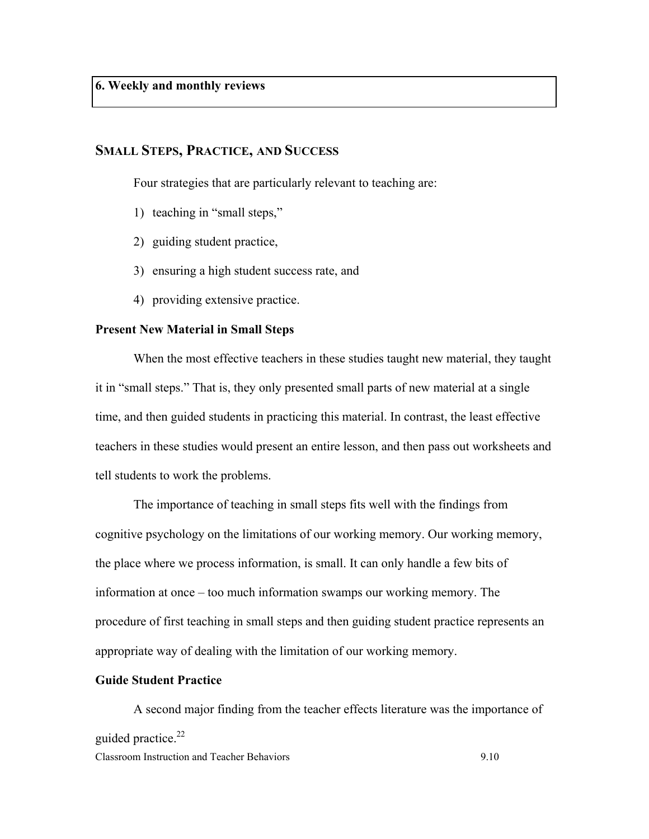## **SMALL STEPS, PRACTICE, AND SUCCESS**

Four strategies that are particularly relevant to teaching are:

- 1) teaching in "small steps,"
- 2) guiding student practice,
- 3) ensuring a high student success rate, and
- 4) providing extensive practice.

## **Present New Material in Small Steps**

When the most effective teachers in these studies taught new material, they taught it in "small steps." That is, they only presented small parts of new material at a single time, and then guided students in practicing this material. In contrast, the least effective teachers in these studies would present an entire lesson, and then pass out worksheets and tell students to work the problems.

The importance of teaching in small steps fits well with the findings from cognitive psychology on the limitations of our working memory. Our working memory, the place where we process information, is small. It can only handle a few bits of information at once – too much information swamps our working memory. The procedure of first teaching in small steps and then guiding student practice represents an appropriate way of dealing with the limitation of our working memory.

#### **Guide Student Practice**

A second major finding from the teacher effects literature was the importance of guided practice. $22$ Classroom Instruction and Teacher Behaviors 9.10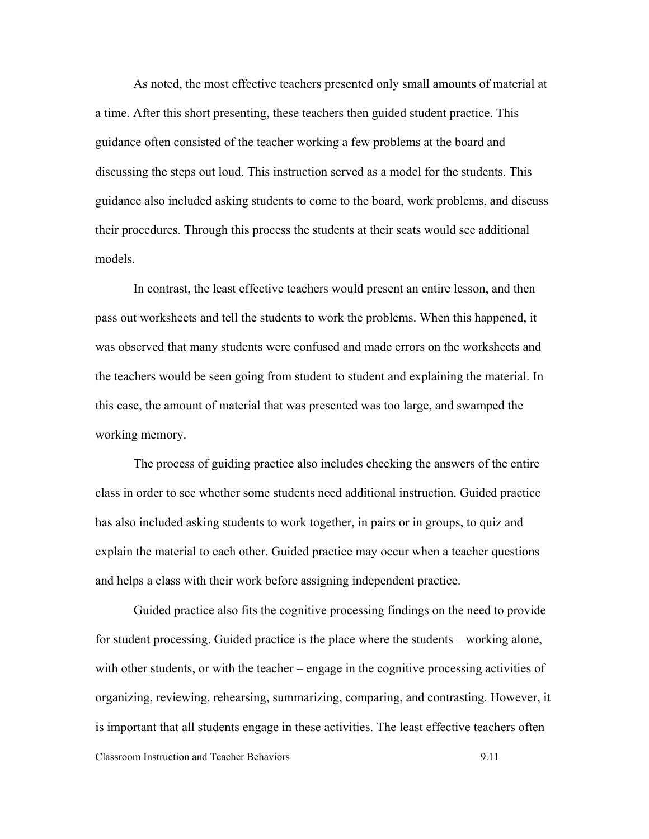As noted, the most effective teachers presented only small amounts of material at a time. After this short presenting, these teachers then guided student practice. This guidance often consisted of the teacher working a few problems at the board and discussing the steps out loud. This instruction served as a model for the students. This guidance also included asking students to come to the board, work problems, and discuss their procedures. Through this process the students at their seats would see additional models.

In contrast, the least effective teachers would present an entire lesson, and then pass out worksheets and tell the students to work the problems. When this happened, it was observed that many students were confused and made errors on the worksheets and the teachers would be seen going from student to student and explaining the material. In this case, the amount of material that was presented was too large, and swamped the working memory.

The process of guiding practice also includes checking the answers of the entire class in order to see whether some students need additional instruction. Guided practice has also included asking students to work together, in pairs or in groups, to quiz and explain the material to each other. Guided practice may occur when a teacher questions and helps a class with their work before assigning independent practice.

Guided practice also fits the cognitive processing findings on the need to provide for student processing. Guided practice is the place where the students – working alone, with other students, or with the teacher – engage in the cognitive processing activities of organizing, reviewing, rehearsing, summarizing, comparing, and contrasting. However, it is important that all students engage in these activities. The least effective teachers often Classroom Instruction and Teacher Behaviors 9.11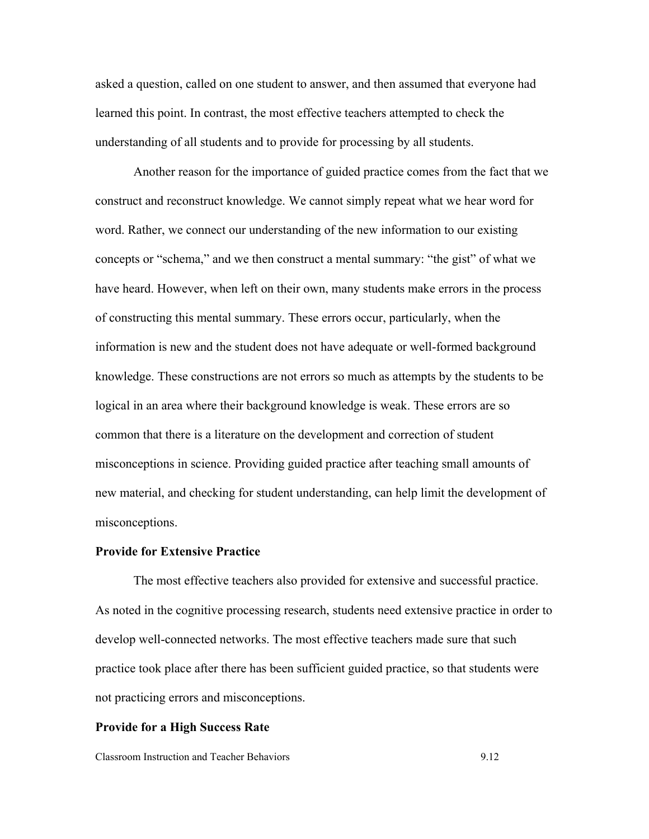asked a question, called on one student to answer, and then assumed that everyone had learned this point. In contrast, the most effective teachers attempted to check the understanding of all students and to provide for processing by all students.

Another reason for the importance of guided practice comes from the fact that we construct and reconstruct knowledge. We cannot simply repeat what we hear word for word. Rather, we connect our understanding of the new information to our existing concepts or "schema," and we then construct a mental summary: "the gist" of what we have heard. However, when left on their own, many students make errors in the process of constructing this mental summary. These errors occur, particularly, when the information is new and the student does not have adequate or well-formed background knowledge. These constructions are not errors so much as attempts by the students to be logical in an area where their background knowledge is weak. These errors are so common that there is a literature on the development and correction of student misconceptions in science. Providing guided practice after teaching small amounts of new material, and checking for student understanding, can help limit the development of misconceptions.

#### **Provide for Extensive Practice**

The most effective teachers also provided for extensive and successful practice. As noted in the cognitive processing research, students need extensive practice in order to develop well-connected networks. The most effective teachers made sure that such practice took place after there has been sufficient guided practice, so that students were not practicing errors and misconceptions.

#### **Provide for a High Success Rate**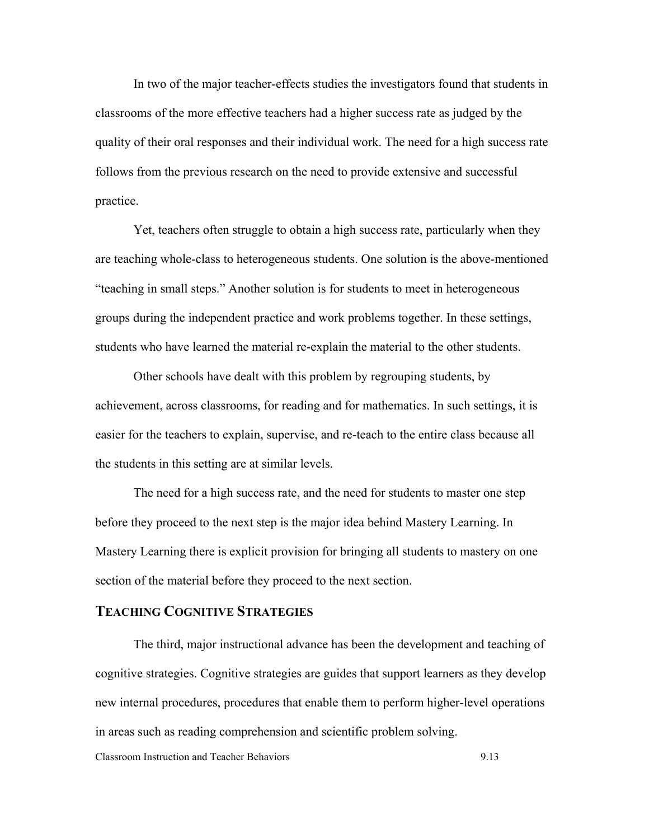In two of the major teacher-effects studies the investigators found that students in classrooms of the more effective teachers had a higher success rate as judged by the quality of their oral responses and their individual work. The need for a high success rate follows from the previous research on the need to provide extensive and successful practice.

Yet, teachers often struggle to obtain a high success rate, particularly when they are teaching whole-class to heterogeneous students. One solution is the above-mentioned "teaching in small steps." Another solution is for students to meet in heterogeneous groups during the independent practice and work problems together. In these settings, students who have learned the material re-explain the material to the other students.

Other schools have dealt with this problem by regrouping students, by achievement, across classrooms, for reading and for mathematics. In such settings, it is easier for the teachers to explain, supervise, and re-teach to the entire class because all the students in this setting are at similar levels.

The need for a high success rate, and the need for students to master one step before they proceed to the next step is the major idea behind Mastery Learning. In Mastery Learning there is explicit provision for bringing all students to mastery on one section of the material before they proceed to the next section.

## **TEACHING COGNITIVE STRATEGIES**

The third, major instructional advance has been the development and teaching of cognitive strategies. Cognitive strategies are guides that support learners as they develop new internal procedures, procedures that enable them to perform higher-level operations in areas such as reading comprehension and scientific problem solving.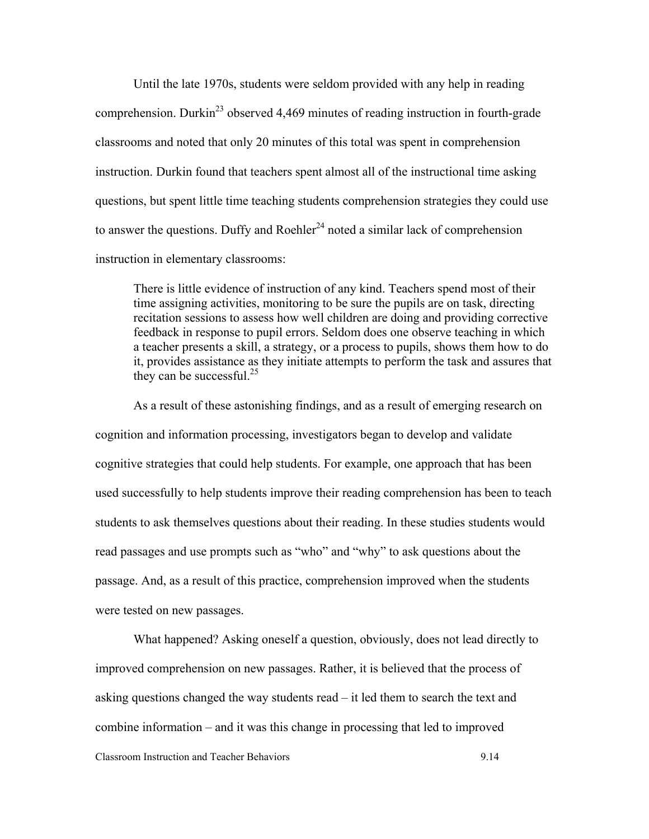Until the late 1970s, students were seldom provided with any help in reading comprehension. Durkin<sup>23</sup> observed 4,469 minutes of reading instruction in fourth-grade classrooms and noted that only 20 minutes of this total was spent in comprehension instruction. Durkin found that teachers spent almost all of the instructional time asking questions, but spent little time teaching students comprehension strategies they could use to answer the questions. Duffy and Roehler<sup>24</sup> noted a similar lack of comprehension instruction in elementary classrooms:

There is little evidence of instruction of any kind. Teachers spend most of their time assigning activities, monitoring to be sure the pupils are on task, directing recitation sessions to assess how well children are doing and providing corrective feedback in response to pupil errors. Seldom does one observe teaching in which a teacher presents a skill, a strategy, or a process to pupils, shows them how to do it, provides assistance as they initiate attempts to perform the task and assures that they can be successful. $25$ 

As a result of these astonishing findings, and as a result of emerging research on cognition and information processing, investigators began to develop and validate cognitive strategies that could help students. For example, one approach that has been used successfully to help students improve their reading comprehension has been to teach students to ask themselves questions about their reading. In these studies students would read passages and use prompts such as "who" and "why" to ask questions about the passage. And, as a result of this practice, comprehension improved when the students were tested on new passages.

What happened? Asking oneself a question, obviously, does not lead directly to improved comprehension on new passages. Rather, it is believed that the process of asking questions changed the way students read – it led them to search the text and combine information – and it was this change in processing that led to improved Classroom Instruction and Teacher Behaviors 9.14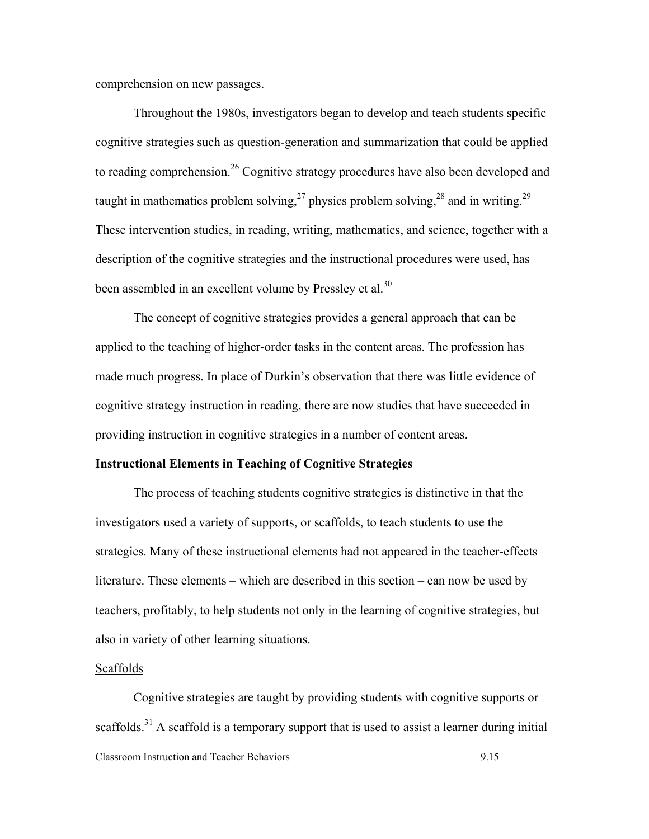comprehension on new passages.

Throughout the 1980s, investigators began to develop and teach students specific cognitive strategies such as question-generation and summarization that could be applied to reading comprehension.<sup>26</sup> Cognitive strategy procedures have also been developed and taught in mathematics problem solving,<sup>27</sup> physics problem solving,<sup>28</sup> and in writing.<sup>29</sup> These intervention studies, in reading, writing, mathematics, and science, together with a description of the cognitive strategies and the instructional procedures were used, has been assembled in an excellent volume by Pressley et al.<sup>[30](#page-30-19)</sup>

The concept of cognitive strategies provides a general approach that can be applied to the teaching of higher-order tasks in the content areas. The profession has made much progress. In place of Durkin's observation that there was little evidence of cognitive strategy instruction in reading, there are now studies that have succeeded in providing instruction in cognitive strategies in a number of content areas.

## **Instructional Elements in Teaching of Cognitive Strategies**

The process of teaching students cognitive strategies is distinctive in that the investigators used a variety of supports, or scaffolds, to teach students to use the strategies. Many of these instructional elements had not appeared in the teacher-effects literature. These elements – which are described in this section – can now be used by teachers, profitably, to help students not only in the learning of cognitive strategies, but also in variety of other learning situations.

#### Scaffolds

Cognitive strategies are taught by providing students with cognitive supports or scaffolds.<sup>31</sup> A scaffold is a temporary support that is used to assist a learner during initial Classroom Instruction and Teacher Behaviors 9.15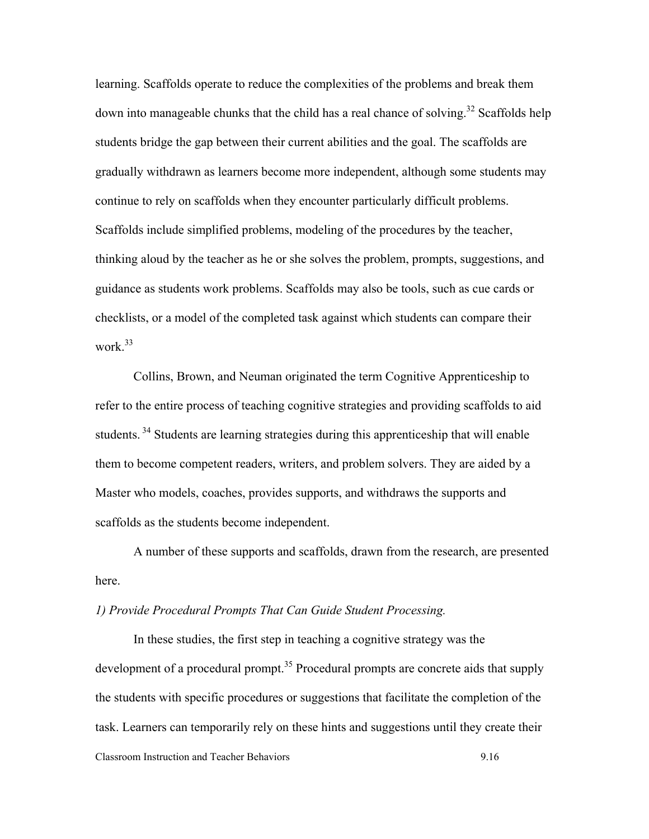learning. Scaffolds operate to reduce the complexities of the problems and break them down into manageable chunks that the child has a real chance of solving.<sup>32</sup> Scaffolds help students bridge the gap between their current abilities and the goal. The scaffolds are gradually withdrawn as learners become more independent, although some students may continue to rely on scaffolds when they encounter particularly difficult problems. Scaffolds include simplified problems, modeling of the procedures by the teacher, thinking aloud by the teacher as he or she solves the problem, prompts, suggestions, and guidance as students work problems. Scaffolds may also be tools, such as cue cards or checklists, or a model of the completed task against which students can compare their work $33$ 

Collins, Brown, and Neuman originated the term Cognitive Apprenticeship to refer to the entire process of teaching cognitive strategies and providing scaffolds to aid students.<sup>34</sup> Students are learning strategies during this apprenticeship that will enable them to become competent readers, writers, and problem solvers. They are aided by a Master who models, coaches, provides supports, and withdraws the supports and scaffolds as the students become independent.

A number of these supports and scaffolds, drawn from the research, are presented here.

## *1) Provide Procedural Prompts That Can Guide Student Processing.*

In these studies, the first step in teaching a cognitive strategy was the development of a procedural prompt.<sup>35</sup> Procedural prompts are concrete aids that supply the students with specific procedures or suggestions that facilitate the completion of the task. Learners can temporarily rely on these hints and suggestions until they create their Classroom Instruction and Teacher Behaviors 9.16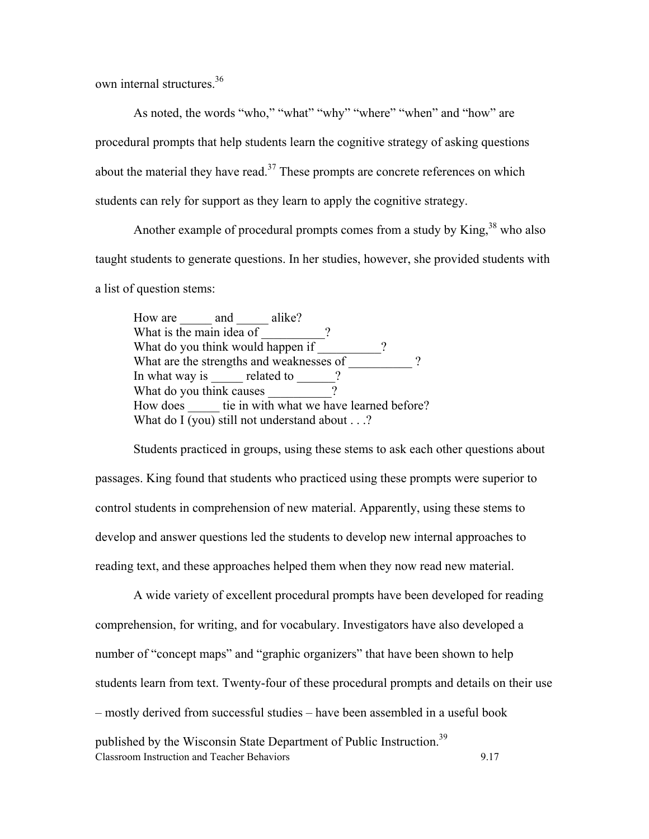own internal structures[.36](#page-30-16)

As noted, the words "who," "what" "why" "where" "when" and "how" are procedural prompts that help students learn the cognitive strategy of asking questions about the material they have read.<sup>37</sup> These prompts are concrete references on which students can rely for support as they learn to apply the cognitive strategy.

Another example of procedural prompts comes from a study by  $King^{38}$  who also taught students to generate questions. In her studies, however, she provided students with a list of question stems:

How are \_\_\_\_\_\_ and \_\_\_\_\_\_ alike? What is the main idea of \_\_\_\_\_\_\_\_? What do you think would happen if \_\_\_\_\_\_\_\_\_? What are the strengths and weaknesses of ? In what way is related to  $\frac{?}{?}$ What do you think causes How does tie in with what we have learned before? What do I (you) still not understand about . . .?

Students practiced in groups, using these stems to ask each other questions about passages. King found that students who practiced using these prompts were superior to control students in comprehension of new material. Apparently, using these stems to develop and answer questions led the students to develop new internal approaches to reading text, and these approaches helped them when they now read new material.

Classroom Instruction and Teacher Behaviors 9.17 A wide variety of excellent procedural prompts have been developed for reading comprehension, for writing, and for vocabulary. Investigators have also developed a number of "concept maps" and "graphic organizers" that have been shown to help students learn from text. Twenty-four of these procedural prompts and details on their use – mostly derived from successful studies – have been assembled in a useful book published by the Wisconsin State Department of Public Instruction.<sup>39</sup>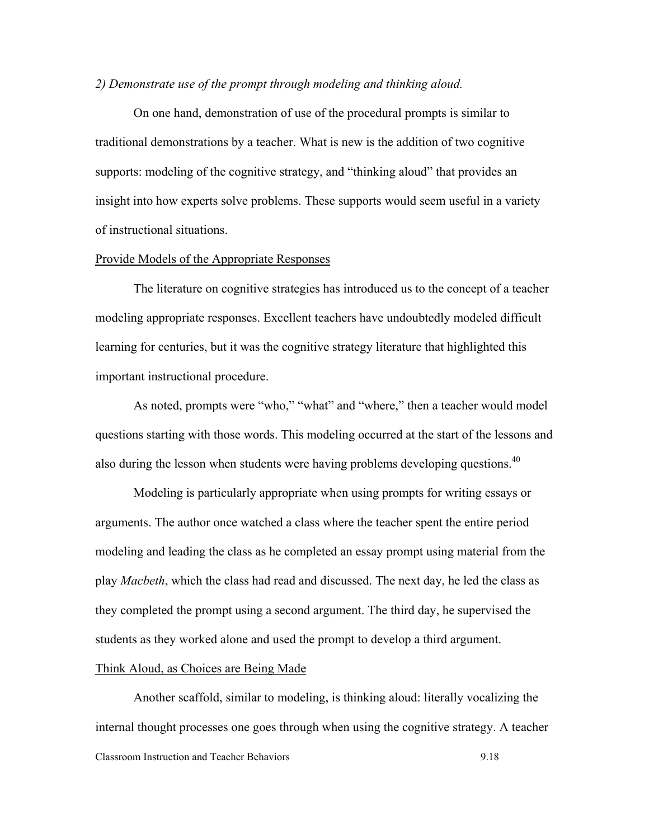## *2) Demonstrate use of the prompt through modeling and thinking aloud.*

On one hand, demonstration of use of the procedural prompts is similar to traditional demonstrations by a teacher. What is new is the addition of two cognitive supports: modeling of the cognitive strategy, and "thinking aloud" that provides an insight into how experts solve problems. These supports would seem useful in a variety of instructional situations.

## Provide Models of the Appropriate Responses

The literature on cognitive strategies has introduced us to the concept of a teacher modeling appropriate responses. Excellent teachers have undoubtedly modeled difficult learning for centuries, but it was the cognitive strategy literature that highlighted this important instructional procedure.

As noted, prompts were "who," "what" and "where," then a teacher would model questions starting with those words. This modeling occurred at the start of the lessons and also during the lesson when students were having problems developing questions.<sup>40</sup>

Modeling is particularly appropriate when using prompts for writing essays or arguments. The author once watched a class where the teacher spent the entire period modeling and leading the class as he completed an essay prompt using material from the play *Macbeth*, which the class had read and discussed. The next day, he led the class as they completed the prompt using a second argument. The third day, he supervised the students as they worked alone and used the prompt to develop a third argument.

## Think Aloud, as Choices are Being Made

Another scaffold, similar to modeling, is thinking aloud: literally vocalizing the internal thought processes one goes through when using the cognitive strategy. A teacher Classroom Instruction and Teacher Behaviors 9.18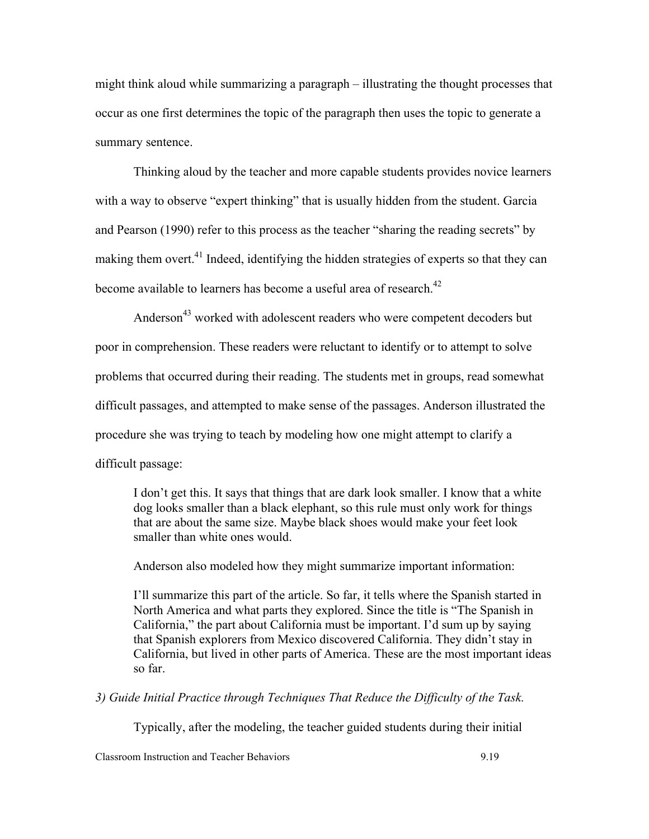might think aloud while summarizing a paragraph – illustrating the thought processes that occur as one first determines the topic of the paragraph then uses the topic to generate a summary sentence.

Thinking aloud by the teacher and more capable students provides novice learners with a way to observe "expert thinking" that is usually hidden from the student. Garcia and Pearson (1990) refer to this process as the teacher "sharing the reading secrets" by making them overt.<sup>41</sup> Indeed, identifying the hidden strategies of experts so that they can become available to learners has become a useful area of research.<sup>42</sup>

Anderson<sup>43</sup> worked with adolescent readers who were competent decoders but poor in comprehension. These readers were reluctant to identify or to attempt to solve problems that occurred during their reading. The students met in groups, read somewhat difficult passages, and attempted to make sense of the passages. Anderson illustrated the procedure she was trying to teach by modeling how one might attempt to clarify a difficult passage:

I don't get this. It says that things that are dark look smaller. I know that a white dog looks smaller than a black elephant, so this rule must only work for things that are about the same size. Maybe black shoes would make your feet look smaller than white ones would.

Anderson also modeled how they might summarize important information:

I'll summarize this part of the article. So far, it tells where the Spanish started in North America and what parts they explored. Since the title is "The Spanish in California," the part about California must be important. I'd sum up by saying that Spanish explorers from Mexico discovered California. They didn't stay in California, but lived in other parts of America. These are the most important ideas so far.

*3) Guide Initial Practice through Techniques That Reduce the Difficulty of the Task.* 

Typically, after the modeling, the teacher guided students during their initial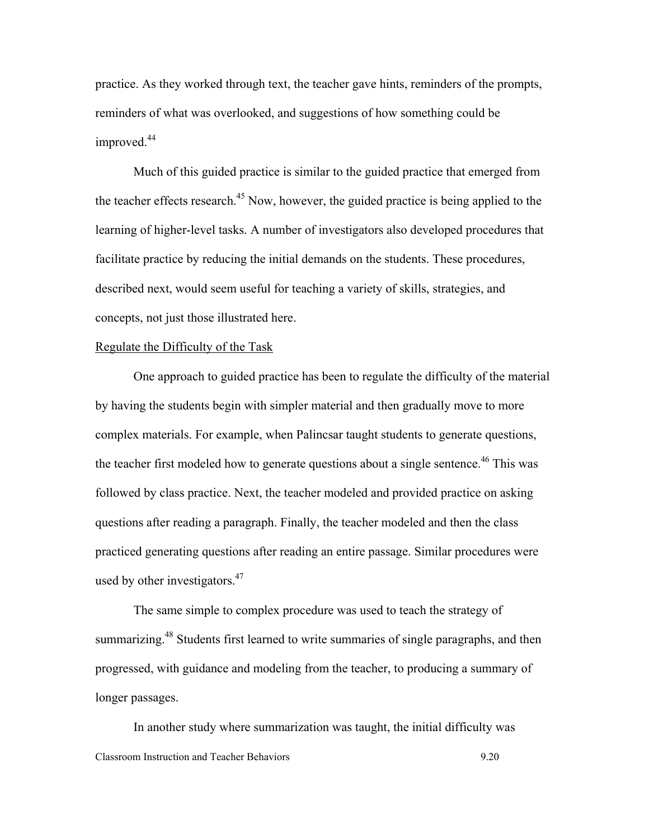practice. As they worked through text, the teacher gave hints, reminders of the prompts, reminders of what was overlooked, and suggestions of how something could be improved.<sup>[44](#page-30-11)</sup>

Much of this guided practice is similar to the guided practice that emerged from the teacher effects research.<sup>45</sup> Now, however, the guided practice is being applied to the learning of higher-level tasks. A number of investigators also developed procedures that facilitate practice by reducing the initial demands on the students. These procedures, described next, would seem useful for teaching a variety of skills, strategies, and concepts, not just those illustrated here.

## Regulate the Difficulty of the Task

One approach to guided practice has been to regulate the difficulty of the material by having the students begin with simpler material and then gradually move to more complex materials. For example, when Palincsar taught students to generate questions, the teacher first modeled how to generate questions about a single sentence.<sup>46</sup> This was followed by class practice. Next, the teacher modeled and provided practice on asking questions after reading a paragraph. Finally, the teacher modeled and then the class practiced generating questions after reading an entire passage. Similar procedures were used by other investigators.<sup>47</sup>

The same simple to complex procedure was used to teach the strategy of summarizing.<sup>48</sup> Students first learned to write summaries of single paragraphs, and then progressed, with guidance and modeling from the teacher, to producing a summary of longer passages.

In another study where summarization was taught, the initial difficulty was Classroom Instruction and Teacher Behaviors 9.20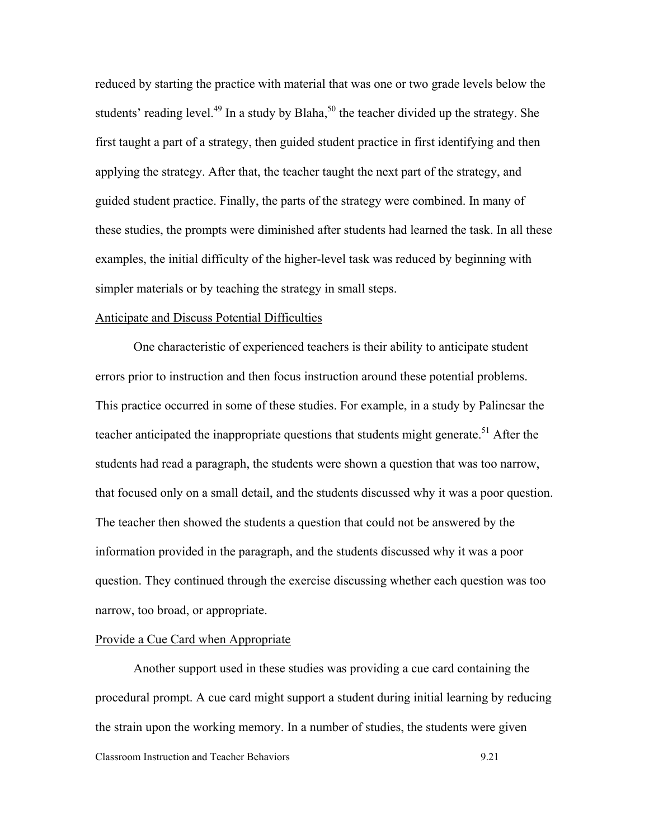reduced by starting the practice with material that was one or two grade levels below the students' reading level.<sup>49</sup> In a study by Blaha,<sup>50</sup> the teacher divided up the strategy. She first taught a part of a strategy, then guided student practice in first identifying and then applying the strategy. After that, the teacher taught the next part of the strategy, and guided student practice. Finally, the parts of the strategy were combined. In many of these studies, the prompts were diminished after students had learned the task. In all these examples, the initial difficulty of the higher-level task was reduced by beginning with simpler materials or by teaching the strategy in small steps.

## Anticipate and Discuss Potential Difficulties

One characteristic of experienced teachers is their ability to anticipate student errors prior to instruction and then focus instruction around these potential problems. This practice occurred in some of these studies. For example, in a study by Palincsar the teacher anticipated the inappropriate questions that students might generate.<sup>51</sup> After the students had read a paragraph, the students were shown a question that was too narrow, that focused only on a small detail, and the students discussed why it was a poor question. The teacher then showed the students a question that could not be answered by the information provided in the paragraph, and the students discussed why it was a poor question. They continued through the exercise discussing whether each question was too narrow, too broad, or appropriate.

## Provide a Cue Card when Appropriate

Another support used in these studies was providing a cue card containing the procedural prompt. A cue card might support a student during initial learning by reducing the strain upon the working memory. In a number of studies, the students were given Classroom Instruction and Teacher Behaviors 9.21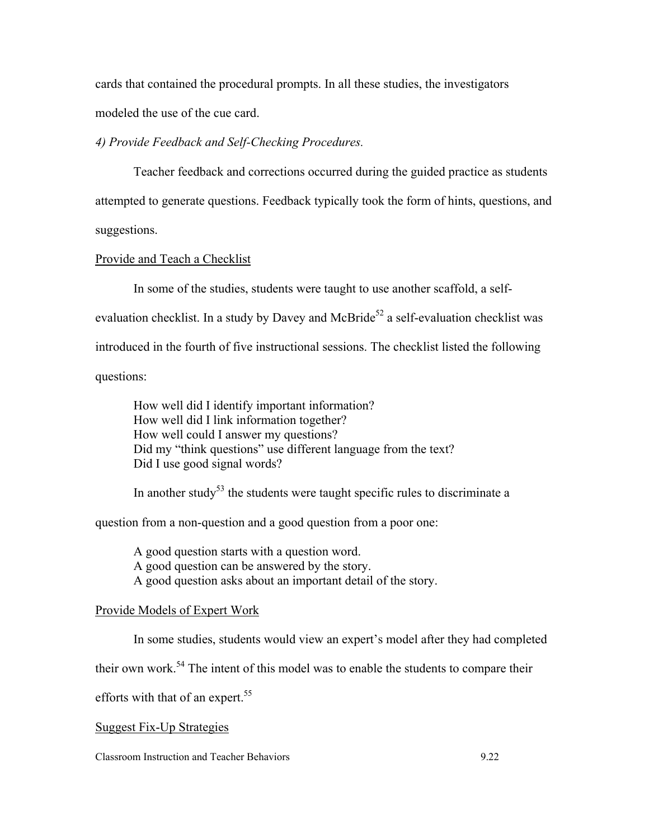cards that contained the procedural prompts. In all these studies, the investigators modeled the use of the cue card.

*4) Provide Feedback and Self-Checking Procedures.* 

Teacher feedback and corrections occurred during the guided practice as students attempted to generate questions. Feedback typically took the form of hints, questions, and suggestions.

## Provide and Teach a Checklist

In some of the studies, students were taught to use another scaffold, a selfevaluation checklist. In a study by Davey and McBride<sup>52</sup> a self-evaluation checklist was introduced in the fourth of five instructional sessions. The checklist listed the following questions:

How well did I identify important information? How well did I link information together? How well could I answer my questions? Did my "think questions" use different language from the text? Did I use good signal words?

In another study<sup>53</sup> the students were taught specific rules to discriminate a

question from a non-question and a good question from a poor one:

A good question starts with a question word. A good question can be answered by the story. A good question asks about an important detail of the story.

## Provide Models of Expert Work

In some studies, students would view an expert's model after they had completed

their own work.<sup>54</sup> The intent of this model was to enable the students to compare their

efforts with that of an expert.<sup>55</sup>

#### Suggest Fix-Up Strategies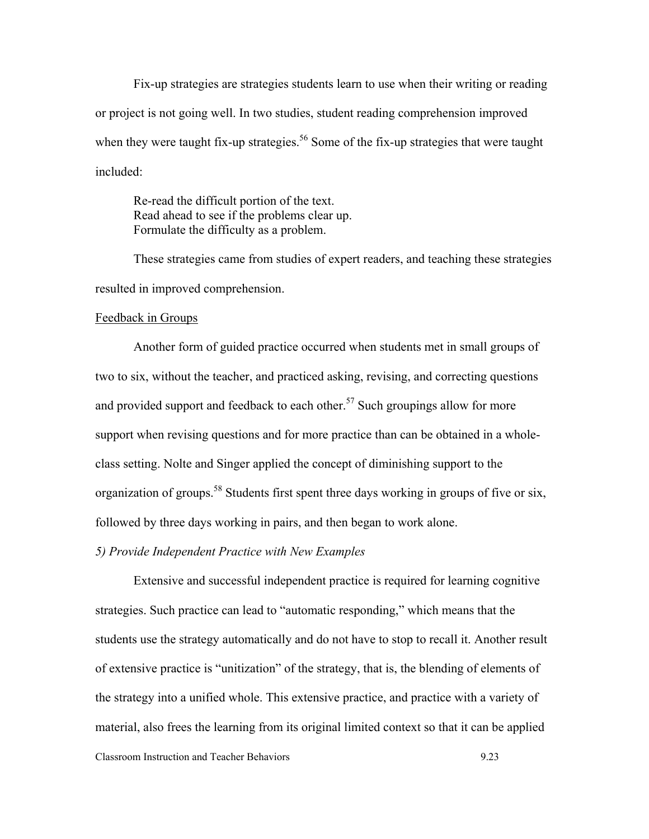Fix-up strategies are strategies students learn to use when their writing or reading or project is not going well. In two studies, student reading comprehension improved when they were taught fix-up strategies.<sup>56</sup> Some of the fix-up strategies that were taught included:

Re-read the difficult portion of the text. Read ahead to see if the problems clear up. Formulate the difficulty as a problem.

These strategies came from studies of expert readers, and teaching these strategies resulted in improved comprehension.

## Feedback in Groups

Another form of guided practice occurred when students met in small groups of two to six, without the teacher, and practiced asking, revising, and correcting questions and provided support and feedback to each other.<sup>57</sup> Such groupings allow for more support when revising questions and for more practice than can be obtained in a wholeclass setting. Nolte and Singer applied the concept of diminishing support to the organization of groups.<sup>58</sup> Students first spent three days working in groups of five or six, followed by three days working in pairs, and then began to work alone.

## *5) Provide Independent Practice with New Examples*

Extensive and successful independent practice is required for learning cognitive strategies. Such practice can lead to "automatic responding," which means that the students use the strategy automatically and do not have to stop to recall it. Another result of extensive practice is "unitization" of the strategy, that is, the blending of elements of the strategy into a unified whole. This extensive practice, and practice with a variety of material, also frees the learning from its original limited context so that it can be applied Classroom Instruction and Teacher Behaviors 9.23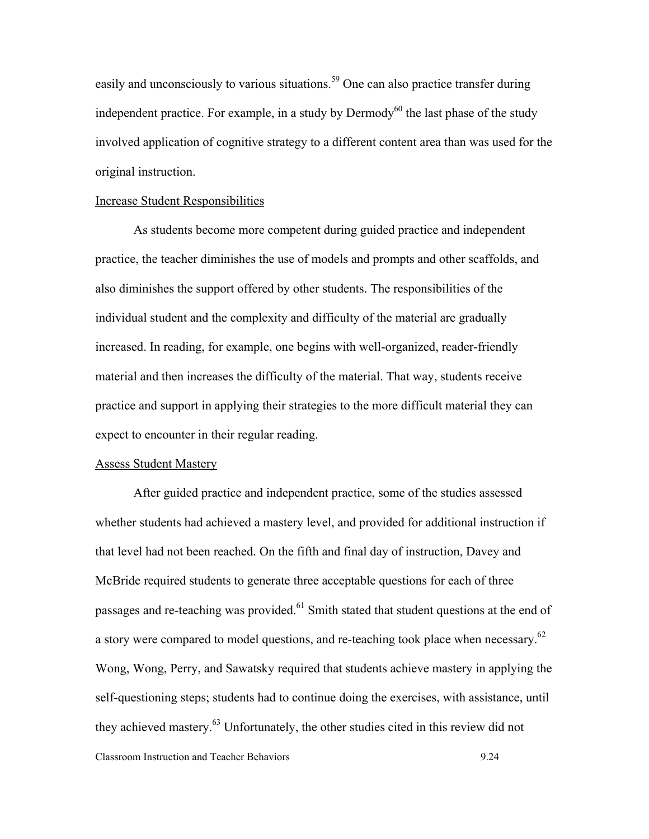easily and unconsciously to various situations.<sup>59</sup> One can also practice transfer during independent practice. For example, in a study by  $Dermody^{60}$  the last phase of the study involved application of cognitive strategy to a different content area than was used for the original instruction.

#### Increase Student Responsibilities

As students become more competent during guided practice and independent practice, the teacher diminishes the use of models and prompts and other scaffolds, and also diminishes the support offered by other students. The responsibilities of the individual student and the complexity and difficulty of the material are gradually increased. In reading, for example, one begins with well-organized, reader-friendly material and then increases the difficulty of the material. That way, students receive practice and support in applying their strategies to the more difficult material they can expect to encounter in their regular reading.

#### Assess Student Mastery

After guided practice and independent practice, some of the studies assessed whether students had achieved a mastery level, and provided for additional instruction if that level had not been reached. On the fifth and final day of instruction, Davey and McBride required students to generate three acceptable questions for each of three passages and re-teaching was provided.<sup>61</sup> Smith stated that student questions at the end of a story were compared to model questions, and re-teaching took place when necessary.<sup>62</sup> Wong, Wong, Perry, and Sawatsky required that students achieve mastery in applying the self-questioning steps; students had to continue doing the exercises, with assistance, until they achieved mastery.<sup>63</sup> Unfortunately, the other studies cited in this review did not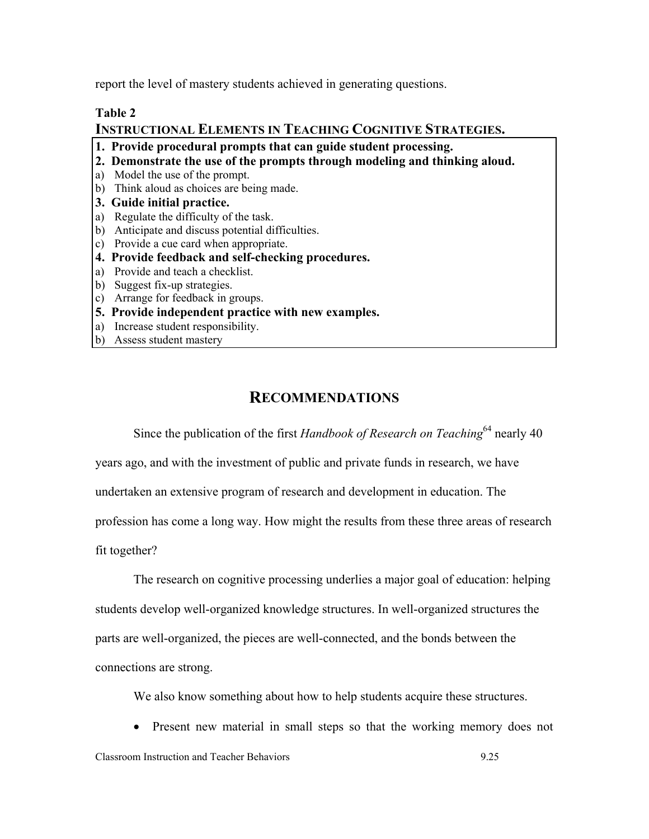report the level of mastery students achieved in generating questions.

## **Table 2**

**INSTRUCTIONAL ELEMENTS IN TEACHING COGNITIVE STRATEGIES.** 

- **1. Provide procedural prompts that can guide student processing.**
- **2. Demonstrate the use of the prompts through modeling and thinking aloud.**
- a) Model the use of the prompt.
- b) Think aloud as choices are being made.
- **3. Guide initial practice.**
- a) Regulate the difficulty of the task.
- b) Anticipate and discuss potential difficulties.
- c) Provide a cue card when appropriate.
- **4. Provide feedback and self-checking procedures.**
- a) Provide and teach a checklist.
- b) Suggest fix-up strategies.
- c) Arrange for feedback in groups.
- **5. Provide independent practice with new examples.**
- a) Increase student responsibility.
- b) Assess student mastery

## **RECOMMENDATIONS**

Since the publication of the first *Handbook of Research on Teaching*<sup>64</sup> nearly 40

years ago, and with the investment of public and private funds in research, we have undertaken an extensive program of research and development in education. The profession has come a long way. How might the results from these three areas of research fit together?

The research on cognitive processing underlies a major goal of education: helping students develop well-organized knowledge structures. In well-organized structures the parts are well-organized, the pieces are well-connected, and the bonds between the connections are strong.

We also know something about how to help students acquire these structures.

• Present new material in small steps so that the working memory does not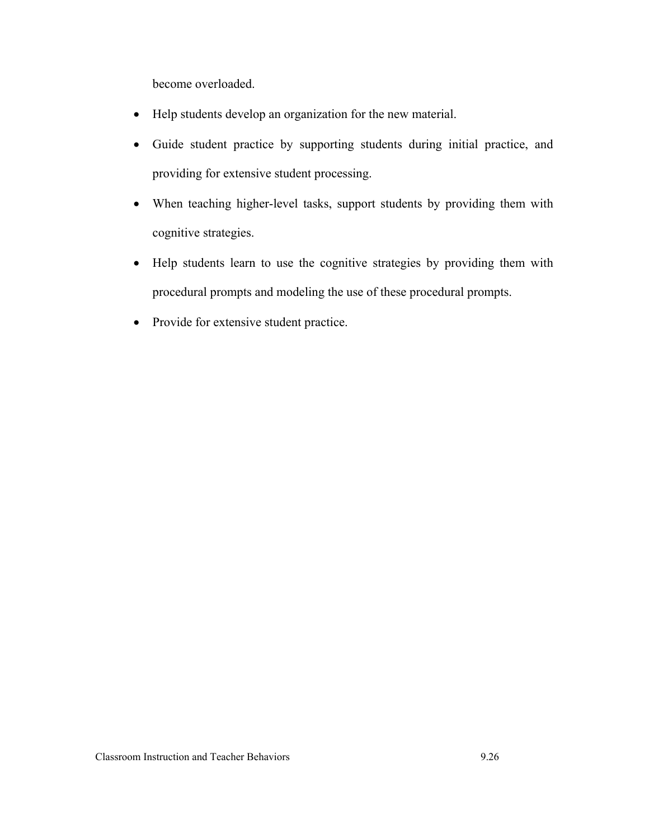become overloaded.

- Help students develop an organization for the new material.
- Guide student practice by supporting students during initial practice, and providing for extensive student processing.
- When teaching higher-level tasks, support students by providing them with cognitive strategies.
- Help students learn to use the cognitive strategies by providing them with procedural prompts and modeling the use of these procedural prompts.
- Provide for extensive student practice.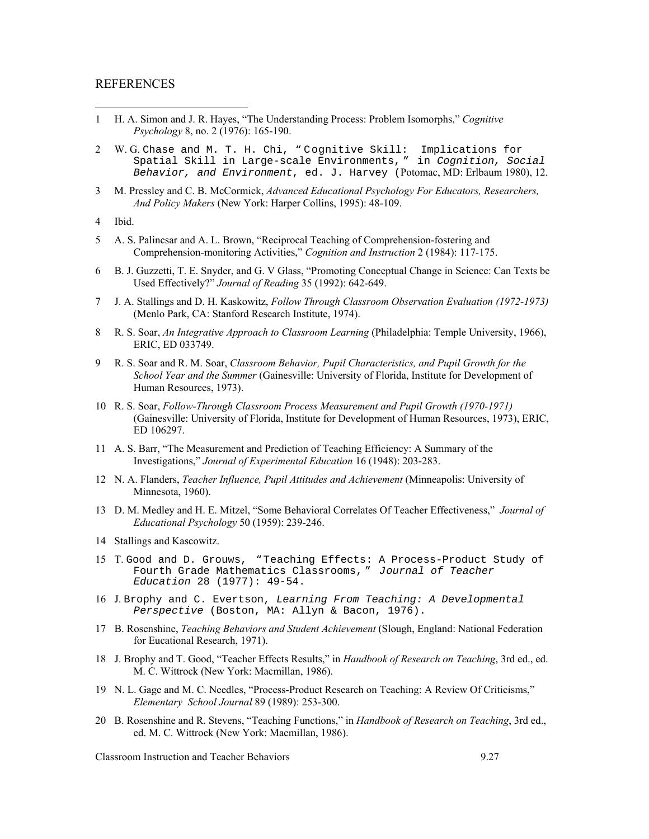#### **REFERENCES**

- 1 H. A. Simon and J. R. Hayes, "The Understanding Process: Problem Isomorphs," *Cognitive Psychology* 8, no. 2 (1976): 165-190.
- 2 W. G. Chase and M. T. H. Chi, " Cognitive Skill: Implications for Spatial Skill in Large-scale Environments, " in *Cognition, Social Behavior, and Environment*, ed. J. Harvey (Potomac, MD: Erlbaum 1980), 12.
- 3 M. Pressley and C. B. McCormick, *Advanced Educational Psychology For Educators, Researchers, And Policy Makers* (New York: Harper Collins, 1995): 48-109.
- 4 Ibid.

 $\overline{a}$ 

- 5 A. S. Palincsar and A. L. Brown, "Reciprocal Teaching of Comprehension-fostering and Comprehension-monitoring Activities," *Cognition and Instruction* 2 (1984): 117-175.
- 6 B. J. Guzzetti, T. E. Snyder, and G. V Glass, "Promoting Conceptual Change in Science: Can Texts be Used Effectively?" *Journal of Reading* 35 (1992): 642-649.
- 7 J. A. Stallings and D. H. Kaskowitz, *Follow Through Classroom Observation Evaluation (1972-1973)* (Menlo Park, CA: Stanford Research Institute, 1974).
- 8 R. S. Soar, *An Integrative Approach to Classroom Learning* (Philadelphia: Temple University, 1966), ERIC, ED 033749.
- 9 R. S. Soar and R. M. Soar, *Classroom Behavior, Pupil Characteristics, and Pupil Growth for the School Year and the Summer* (Gainesville: University of Florida, Institute for Development of Human Resources, 1973).
- 10 R. S. Soar, *Follow-Through Classroom Process Measurement and Pupil Growth (1970-1971)* (Gainesville: University of Florida, Institute for Development of Human Resources, 1973), ERIC, ED 106297.
- 11 A. S. Barr, "The Measurement and Prediction of Teaching Efficiency: A Summary of the Investigations," *Journal of Experimental Education* 16 (1948): 203-283.
- 12 N. A. Flanders, *Teacher Influence, Pupil Attitudes and Achievement* (Minneapolis: University of Minnesota, 1960).
- 13 D. M. Medley and H. E. Mitzel, "Some Behavioral Correlates Of Teacher Effectiveness," *Journal of Educational Psychology* 50 (1959): 239-246.
- 14 Stallings and Kascowitz.
- 15 T. Good and D. Grouws, "Teaching Effects: A Process-Product Study of Fourth Grade Mathematics Classrooms, " *Journal of Teacher Education* 28 (1977): 49-54.
- 16 J. Brophy and C. Evertson, *Learning From Teaching: A Developmental Perspective* (Boston, MA: Allyn & Bacon, 1976).
- 17 B. Rosenshine, *Teaching Behaviors and Student Achievement* (Slough, England: National Federation for Eucational Research, 1971).
- 18 J. Brophy and T. Good, "Teacher Effects Results," in *Handbook of Research on Teaching*, 3rd ed., ed. M. C. Wittrock (New York: Macmillan, 1986).
- 19 N. L. Gage and M. C. Needles, "Process-Product Research on Teaching: A Review Of Criticisms," *Elementary School Journal* 89 (1989): 253-300.
- 20 B. Rosenshine and R. Stevens, "Teaching Functions," in *Handbook of Research on Teaching*, 3rd ed., ed. M. C. Wittrock (New York: Macmillan, 1986).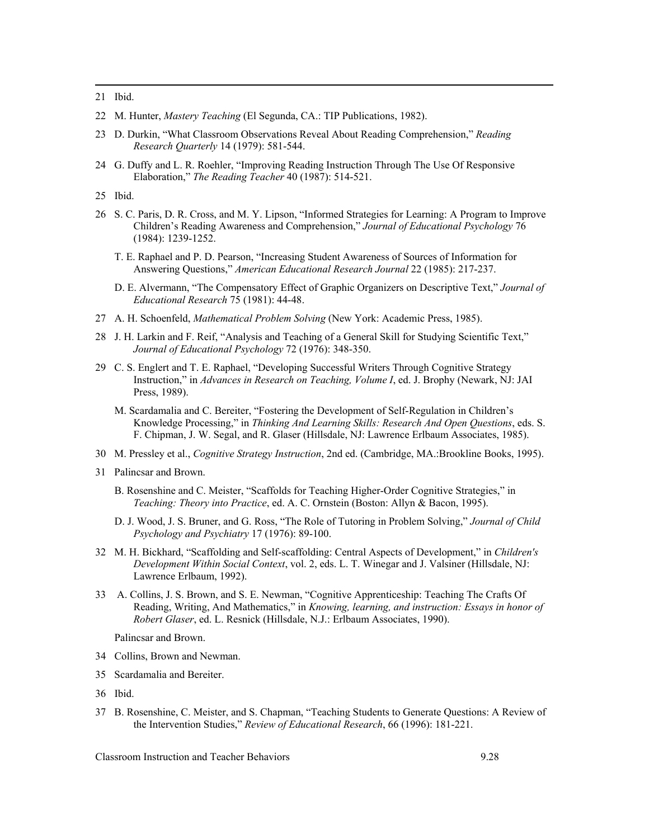- 22 M. Hunter, *Mastery Teaching* (El Segunda, CA.: TIP Publications, 1982).
- 23 D. Durkin, "What Classroom Observations Reveal About Reading Comprehension," *Reading Research Quarterly* 14 (1979): 581-544.
- 24 G. Duffy and L. R. Roehler, "Improving Reading Instruction Through The Use Of Responsive Elaboration," *The Reading Teacher* 40 (1987): 514-521.

- 26 S. C. Paris, D. R. Cross, and M. Y. Lipson, "Informed Strategies for Learning: A Program to Improve Children's Reading Awareness and Comprehension," *Journal of Educational Psychology* 76 (1984): 1239-1252.
	- T. E. Raphael and P. D. Pearson, "Increasing Student Awareness of Sources of Information for Answering Questions," *American Educational Research Journal* 22 (1985): 217-237.
	- D. E. Alvermann, "The Compensatory Effect of Graphic Organizers on Descriptive Text," *Journal of Educational Research* 75 (1981): 44-48.
- 27 A. H. Schoenfeld, *Mathematical Problem Solving* (New York: Academic Press, 1985).
- 28 J. H. Larkin and F. Reif, "Analysis and Teaching of a General Skill for Studying Scientific Text," *Journal of Educational Psychology* 72 (1976): 348-350.
- 29 C. S. Englert and T. E. Raphael, "Developing Successful Writers Through Cognitive Strategy Instruction," in *Advances in Research on Teaching, Volume I*, ed. J. Brophy (Newark, NJ: JAI Press, 1989).
	- M. Scardamalia and C. Bereiter, "Fostering the Development of Self-Regulation in Children's Knowledge Processing," in *Thinking And Learning Skills: Research And Open Questions*, eds. S. F. Chipman, J. W. Segal, and R. Glaser (Hillsdale, NJ: Lawrence Erlbaum Associates, 1985).
- 30 M. Pressley et al., *Cognitive Strategy Instruction*, 2nd ed. (Cambridge, MA.:Brookline Books, 1995).
- 31 Palincsar and Brown.
	- B. Rosenshine and C. Meister, "Scaffolds for Teaching Higher-Order Cognitive Strategies," in *Teaching: Theory into Practice*, ed. A. C. Ornstein (Boston: Allyn & Bacon, 1995).
	- D. J. Wood, J. S. Bruner, and G. Ross, "The Role of Tutoring in Problem Solving," *Journal of Child Psychology and Psychiatry* 17 (1976): 89-100.
- 32 M. H. Bickhard, "Scaffolding and Self-scaffolding: Central Aspects of Development," in *Children's Development Within Social Context*, vol. 2, eds. L. T. Winegar and J. Valsiner (Hillsdale, NJ: Lawrence Erlbaum, 1992).
- 33 A. Collins, J. S. Brown, and S. E. Newman, "Cognitive Apprenticeship: Teaching The Crafts Of Reading, Writing, And Mathematics," in *Knowing, learning, and instruction: Essays in honor of Robert Glaser*, ed. L. Resnick (Hillsdale, N.J.: Erlbaum Associates, 1990).

Palincsar and Brown.

- 34 Collins, Brown and Newman.
- 35 Scardamalia and Bereiter.
- 36 Ibid.
- 37 B. Rosenshine, C. Meister, and S. Chapman, "Teaching Students to Generate Questions: A Review of the Intervention Studies," *Review of Educational Research*, 66 (1996): 181-221.

 <sup>21</sup> Ibid.

<sup>25</sup> Ibid.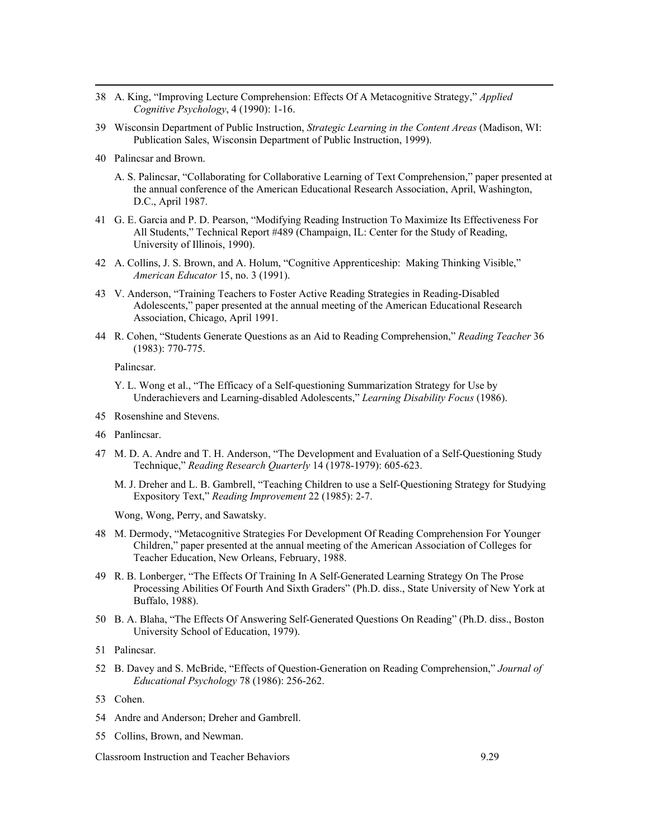- 38 A. King, "Improving Lecture Comprehension: Effects Of A Metacognitive Strategy," *Applied Cognitive Psychology*, 4 (1990): 1-16.
- 39 Wisconsin Department of Public Instruction, *Strategic Learning in the Content Areas* (Madison, WI: Publication Sales, Wisconsin Department of Public Instruction, 1999).
- 40 Palincsar and Brown.
	- A. S. Palincsar, "Collaborating for Collaborative Learning of Text Comprehension," paper presented at the annual conference of the American Educational Research Association, April, Washington, D.C., April 1987.
- 41 G. E. Garcia and P. D. Pearson, "Modifying Reading Instruction To Maximize Its Effectiveness For All Students," Technical Report #489 (Champaign, IL: Center for the Study of Reading, University of Illinois, 1990).
- 42 A. Collins, J. S. Brown, and A. Holum, "Cognitive Apprenticeship: Making Thinking Visible," *American Educator* 15, no. 3 (1991).
- 43 V. Anderson, "Training Teachers to Foster Active Reading Strategies in Reading-Disabled Adolescents," paper presented at the annual meeting of the American Educational Research Association, Chicago, April 1991.
- 44 R. Cohen, "Students Generate Questions as an Aid to Reading Comprehension," *Reading Teacher* 36 (1983): 770-775.

Palincsar.

- Y. L. Wong et al., "The Efficacy of a Self-questioning Summarization Strategy for Use by Underachievers and Learning-disabled Adolescents," *Learning Disability Focus* (1986).
- 45 Rosenshine and Stevens.
- 46 Panlincsar.
- 47 M. D. A. Andre and T. H. Anderson, "The Development and Evaluation of a Self-Questioning Study Technique," *Reading Research Quarterly* 14 (1978-1979): 605-623.
	- M. J. Dreher and L. B. Gambrell, "Teaching Children to use a Self-Questioning Strategy for Studying Expository Text," *Reading Improvement* 22 (1985): 2-7.

Wong, Wong, Perry, and Sawatsky.

- 48 M. Dermody, "Metacognitive Strategies For Development Of Reading Comprehension For Younger Children," paper presented at the annual meeting of the American Association of Colleges for Teacher Education, New Orleans, February, 1988.
- 49 R. B. Lonberger, "The Effects Of Training In A Self-Generated Learning Strategy On The Prose Processing Abilities Of Fourth And Sixth Graders" (Ph.D. diss., State University of New York at Buffalo, 1988).
- 50 B. A. Blaha, "The Effects Of Answering Self-Generated Questions On Reading" (Ph.D. diss., Boston University School of Education, 1979).
- 51 Palincsar.
- 52 B. Davey and S. McBride, "Effects of Question-Generation on Reading Comprehension," *Journal of Educational Psychology* 78 (1986): 256-262.
- 53 Cohen.
- 54 Andre and Anderson; Dreher and Gambrell.
- 55 Collins, Brown, and Newman.